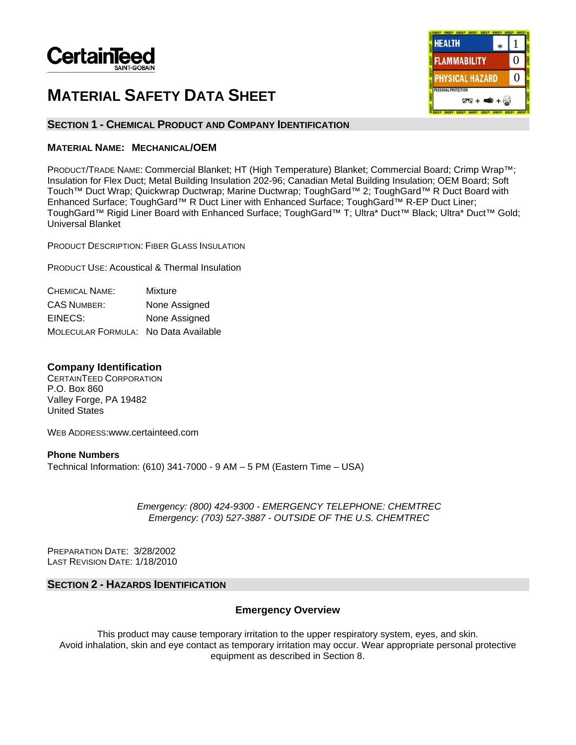

# **MATERIAL SAFETY DATA SHEET**



## **SECTION 1 - CHEMICAL PRODUCT AND COMPANY IDENTIFICATION**

## **MATERIAL NAME: MECHANICAL/OEM**

PRODUCT/TRADE NAME: Commercial Blanket; HT (High Temperature) Blanket; Commercial Board; Crimp Wrap™; Insulation for Flex Duct; Metal Building Insulation 202-96; Canadian Metal Building Insulation; OEM Board; Soft Touch™ Duct Wrap; Quickwrap Ductwrap; Marine Ductwrap; ToughGard™ 2; ToughGard™ R Duct Board with Enhanced Surface; ToughGard™ R Duct Liner with Enhanced Surface; ToughGard™ R-EP Duct Liner; ToughGard™ Rigid Liner Board with Enhanced Surface; ToughGard™ T; Ultra\* Duct™ Black; Ultra\* Duct™ Gold; Universal Blanket

PRODUCT DESCRIPTION: FIBER GLASS INSULATION

PRODUCT USE: Acoustical & Thermal Insulation

| CHEMICAL NAME:                       | Mixture       |
|--------------------------------------|---------------|
| <b>CAS NUMBER:</b>                   | None Assigned |
| EINECS:                              | None Assigned |
| MOLECULAR FORMULA: No Data Available |               |

## **Company Identification**

CERTAINTEED CORPORATION P.O. Box 860 Valley Forge, PA 19482 United States

WEB ADDRESS:www.certainteed.com

**Phone Numbers**  Technical Information: (610) 341-7000 - 9 AM – 5 PM (Eastern Time – USA)

> *Emergency: (800) 424-9300 - EMERGENCY TELEPHONE: CHEMTREC Emergency: (703) 527-3887 - OUTSIDE OF THE U.S. CHEMTREC*

PREPARATION DATE: 3/28/2002 LAST REVISION DATE: 1/18/2010

## **SECTION 2 - HAZARDS IDENTIFICATION**

## **Emergency Overview**

This product may cause temporary irritation to the upper respiratory system, eyes, and skin. Avoid inhalation, skin and eye contact as temporary irritation may occur. Wear appropriate personal protective equipment as described in Section 8.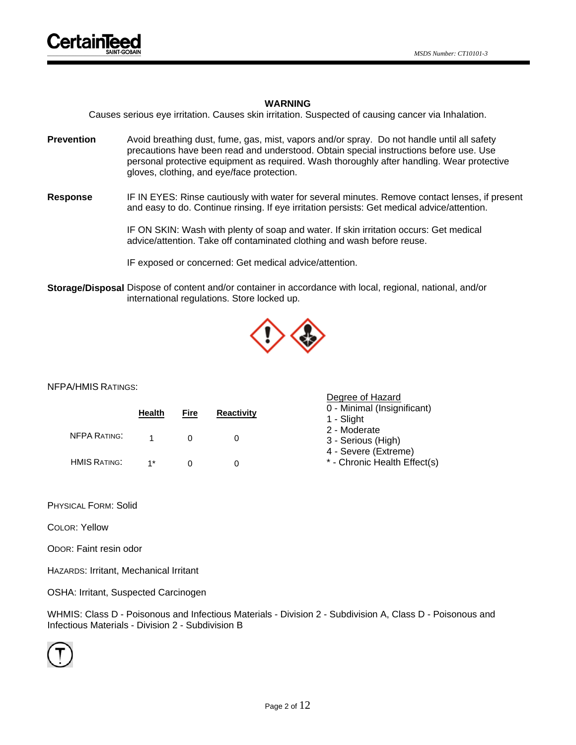## **WARNING**

Causes serious eye irritation. Causes skin irritation. Suspected of causing cancer via Inhalation.

- **Prevention** Avoid breathing dust, fume, gas, mist, vapors and/or spray. Do not handle until all safety precautions have been read and understood. Obtain special instructions before use. Use personal protective equipment as required. Wash thoroughly after handling. Wear protective gloves, clothing, and eye/face protection.
- **Response** IF IN EYES: Rinse cautiously with water for several minutes. Remove contact lenses, if present and easy to do. Continue rinsing. If eye irritation persists: Get medical advice/attention.

IF ON SKIN: Wash with plenty of soap and water. If skin irritation occurs: Get medical advice/attention. Take off contaminated clothing and wash before reuse.

IF exposed or concerned: Get medical advice/attention.

**Storage/Disposal** Dispose of content and/or container in accordance with local, regional, national, and/or international regulations. Store locked up.



Degree of Hazard

#### NFPA/HMIS RATINGS:

|                     | <b>Health</b> | Fire | <b>Reactivity</b> | 0 - Minimal (Insignificant)<br>1 - Slight                  |
|---------------------|---------------|------|-------------------|------------------------------------------------------------|
| <b>NFPA RATING:</b> |               |      |                   | 2 - Moderate<br>3 - Serious (High)<br>4 - Severe (Extreme) |
| <b>HMIS RATING:</b> | $1*$          |      |                   | * - Chronic Health Effect(s)                               |

PHYSICAL FORM: Solid

COLOR: Yellow

ODOR: Faint resin odor

HAZARDS: Irritant, Mechanical Irritant

OSHA: Irritant, Suspected Carcinogen

WHMIS: Class D - Poisonous and Infectious Materials - Division 2 - Subdivision A, Class D - Poisonous and Infectious Materials - Division 2 - Subdivision B

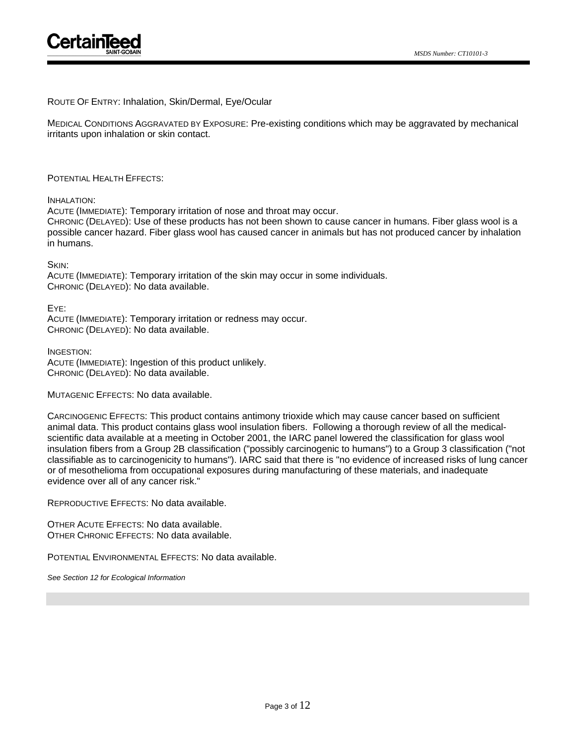## ROUTE OF ENTRY: Inhalation, Skin/Dermal, Eye/Ocular

MEDICAL CONDITIONS AGGRAVATED BY EXPOSURE: Pre-existing conditions which may be aggravated by mechanical irritants upon inhalation or skin contact.

#### POTENTIAL HEALTH EFFECTS:

#### INHALATION:

ACUTE (IMMEDIATE): Temporary irritation of nose and throat may occur.

CHRONIC (DELAYED): Use of these products has not been shown to cause cancer in humans. Fiber glass wool is a possible cancer hazard. Fiber glass wool has caused cancer in animals but has not produced cancer by inhalation in humans.

SKIN:

ACUTE (IMMEDIATE): Temporary irritation of the skin may occur in some individuals. CHRONIC (DELAYED): No data available.

EYE: ACUTE (IMMEDIATE): Temporary irritation or redness may occur. CHRONIC (DELAYED): No data available.

INGESTION: ACUTE (IMMEDIATE): Ingestion of this product unlikely. CHRONIC (DELAYED): No data available.

MUTAGENIC EFFECTS: No data available.

CARCINOGENIC EFFECTS: This product contains antimony trioxide which may cause cancer based on sufficient animal data. This product contains glass wool insulation fibers. Following a thorough review of all the medicalscientific data available at a meeting in October 2001, the IARC panel lowered the classification for glass wool insulation fibers from a Group 2B classification ("possibly carcinogenic to humans") to a Group 3 classification ("not classifiable as to carcinogenicity to humans"). IARC said that there is "no evidence of increased risks of lung cancer or of mesothelioma from occupational exposures during manufacturing of these materials, and inadequate evidence over all of any cancer risk."

REPRODUCTIVE EFFECTS: No data available.

OTHER ACUTE EFFECTS: No data available. OTHER CHRONIC EFFECTS: No data available.

POTENTIAL ENVIRONMENTAL EFFECTS: No data available.

*See Section 12 for Ecological Information*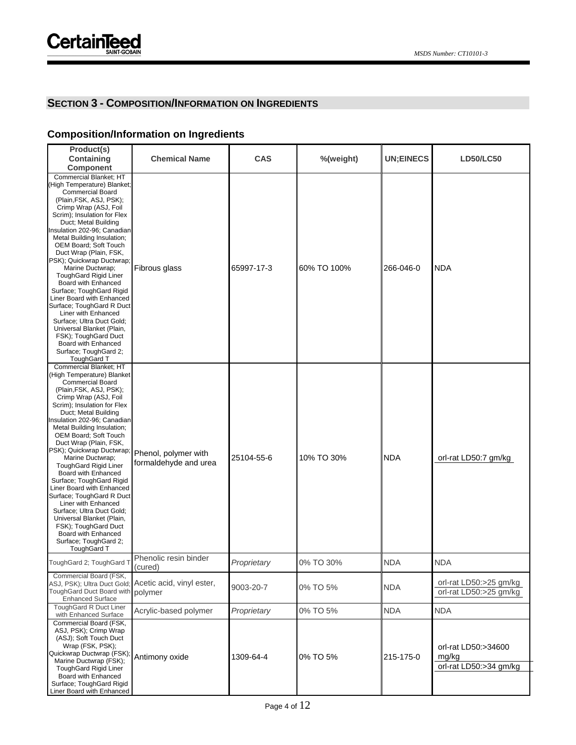## **SECTION 3 - COMPOSITION/INFORMATION ON INGREDIENTS**

## **Composition/Information on Ingredients**

| Product(s)<br>Containing<br><b>Component</b>                                                                                                                                                                                                                                                                                                                                                                                                                                                                                                                                                                                                                                                          | <b>Chemical Name</b>                                             | <b>CAS</b>  | %(weight)   | <b>UN;EINECS</b> | <b>LD50/LC50</b>                                       |
|-------------------------------------------------------------------------------------------------------------------------------------------------------------------------------------------------------------------------------------------------------------------------------------------------------------------------------------------------------------------------------------------------------------------------------------------------------------------------------------------------------------------------------------------------------------------------------------------------------------------------------------------------------------------------------------------------------|------------------------------------------------------------------|-------------|-------------|------------------|--------------------------------------------------------|
| Commercial Blanket; HT<br>(High Temperature) Blanket;<br><b>Commercial Board</b><br>(Plain, FSK, ASJ, PSK);<br>Crimp Wrap (ASJ, Foil<br>Scrim); Insulation for Flex<br>Duct; Metal Building<br>Insulation 202-96; Canadian<br>Metal Building Insulation;<br><b>OEM Board: Soft Touch</b><br>Duct Wrap (Plain, FSK,<br>PSK); Quickwrap Ductwrap;<br>Marine Ductwrap;<br><b>ToughGard Rigid Liner</b><br>Board with Enhanced<br>Surface; ToughGard Rigid<br>Liner Board with Enhanced<br>Surface; ToughGard R Duct<br>Liner with Enhanced<br>Surface; Ultra Duct Gold;<br>Universal Blanket (Plain,<br>FSK); ToughGard Duct<br>Board with Enhanced<br>Surface; ToughGard 2;<br>ToughGard T              | Fibrous glass                                                    | 65997-17-3  | 60% TO 100% | 266-046-0        | <b>NDA</b>                                             |
| Commercial Blanket; HT<br>(High Temperature) Blanket<br><b>Commercial Board</b><br>(Plain, FSK, ASJ, PSK);<br>Crimp Wrap (ASJ, Foil<br>Scrim); Insulation for Flex<br>Duct; Metal Building<br>Insulation 202-96; Canadian<br>Metal Building Insulation;<br>OEM Board; Soft Touch<br>Duct Wrap (Plain, FSK,<br>PSK); Quickwrap Ductwrap; Phenol, polymer with<br>Marine Ductwrap;<br><b>ToughGard Rigid Liner</b><br>Board with Enhanced<br>Surface; ToughGard Rigid<br>Liner Board with Enhanced<br>Surface; ToughGard R Duct<br>Liner with Enhanced<br>Surface; Ultra Duct Gold;<br>Universal Blanket (Plain,<br>FSK); ToughGard Duct<br>Board with Enhanced<br>Surface; ToughGard 2;<br>ToughGard T | formaldehyde and urea                                            | 25104-55-6  | 10% TO 30%  | <b>NDA</b>       | orl-rat LD50:7 gm/kg                                   |
| ToughGard 2; ToughGard T                                                                                                                                                                                                                                                                                                                                                                                                                                                                                                                                                                                                                                                                              | Phenolic resin binder<br>(cured)                                 | Proprietary | 0% TO 30%   | <b>NDA</b>       | <b>NDA</b>                                             |
| Commercial Board (FSK,<br>ToughGard Duct Board with<br><b>Enhanced Surface</b>                                                                                                                                                                                                                                                                                                                                                                                                                                                                                                                                                                                                                        | ASJ, PSK); Ultra Duct Gold; Acetic acid, vinyl ester,<br>polymer | 9003-20-7   | 0% TO 5%    | <b>NDA</b>       | orl-rat LD50:>25 gm/kg<br>orl-rat LD50:>25 gm/kg       |
| ToughGard R Duct Liner<br>with Enhanced Surface                                                                                                                                                                                                                                                                                                                                                                                                                                                                                                                                                                                                                                                       | Acrylic-based polymer                                            | Proprietary | 0% TO 5%    | <b>NDA</b>       | <b>NDA</b>                                             |
| Commercial Board (FSK,<br>ASJ, PSK); Crimp Wrap<br>(ASJ); Soft Touch Duct<br>Wrap (FSK, PSK);<br>Quickwrap Ductwrap (FSK);<br>Marine Ductwrap (FSK);<br><b>ToughGard Rigid Liner</b><br>Board with Enhanced<br>Surface; ToughGard Rigid<br>Liner Board with Enhanced                                                                                                                                                                                                                                                                                                                                                                                                                                  | Antimony oxide                                                   | 1309-64-4   | 0% TO 5%    | 215-175-0        | orl-rat LD50:>34600<br>mg/kg<br>orl-rat LD50:>34 gm/kg |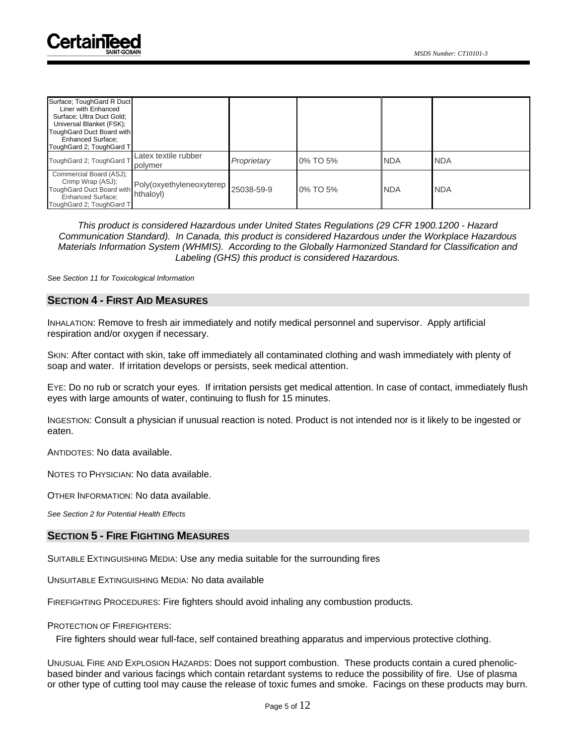| Surface: ToughGard R Duct |                          |             |          |            |            |
|---------------------------|--------------------------|-------------|----------|------------|------------|
| Liner with Enhanced       |                          |             |          |            |            |
| Surface; Ultra Duct Gold; |                          |             |          |            |            |
| Universal Blanket (FSK);  |                          |             |          |            |            |
| ToughGard Duct Board with |                          |             |          |            |            |
| <b>Enhanced Surface:</b>  |                          |             |          |            |            |
| ToughGard 2; ToughGard T  |                          |             |          |            |            |
| ToughGard 2; ToughGard T  | Latex textile rubber     | Proprietary | 0% TO 5% | <b>NDA</b> | <b>NDA</b> |
|                           | polymer                  |             |          |            |            |
| Commercial Board (ASJ);   |                          |             |          |            |            |
| Crimp Wrap (ASJ);         | Poly(oxyethyleneoxyterep |             |          |            |            |
| ToughGard Duct Board with |                          | 25038-59-9  | 0% TO 5% | <b>NDA</b> | <b>NDA</b> |
| Enhanced Surface:         | hthaloyl)                |             |          |            |            |
| ToughGard 2; ToughGard T  |                          |             |          |            |            |

*This product is considered Hazardous under United States Regulations (29 CFR 1900.1200 - Hazard Communication Standard). In Canada, this product is considered Hazardous under the Workplace Hazardous Materials Information System (WHMIS). According to the Globally Harmonized Standard for Classification and Labeling (GHS) this product is considered Hazardous.*

*See Section 11 for Toxicological Information* 

## **SECTION 4 - FIRST AID MEASURES**

INHALATION: Remove to fresh air immediately and notify medical personnel and supervisor. Apply artificial respiration and/or oxygen if necessary.

SKIN: After contact with skin, take off immediately all contaminated clothing and wash immediately with plenty of soap and water. If irritation develops or persists, seek medical attention.

EYE: Do no rub or scratch your eyes. If irritation persists get medical attention. In case of contact, immediately flush eyes with large amounts of water, continuing to flush for 15 minutes.

INGESTION: Consult a physician if unusual reaction is noted. Product is not intended nor is it likely to be ingested or eaten.

ANTIDOTES: No data available.

NOTES TO PHYSICIAN: No data available.

OTHER INFORMATION: No data available.

*See Section 2 for Potential Health Effects*

## **SECTION 5 - FIRE FIGHTING MEASURES**

SUITABLE EXTINGUISHING MEDIA: Use any media suitable for the surrounding fires

UNSUITABLE EXTINGUISHING MEDIA: No data available

FIREFIGHTING PROCEDURES: Fire fighters should avoid inhaling any combustion products.

#### PROTECTION OF FIREFIGHTERS:

Fire fighters should wear full-face, self contained breathing apparatus and impervious protective clothing.

UNUSUAL FIRE AND EXPLOSION HAZARDS: Does not support combustion. These products contain a cured phenolicbased binder and various facings which contain retardant systems to reduce the possibility of fire. Use of plasma or other type of cutting tool may cause the release of toxic fumes and smoke. Facings on these products may burn.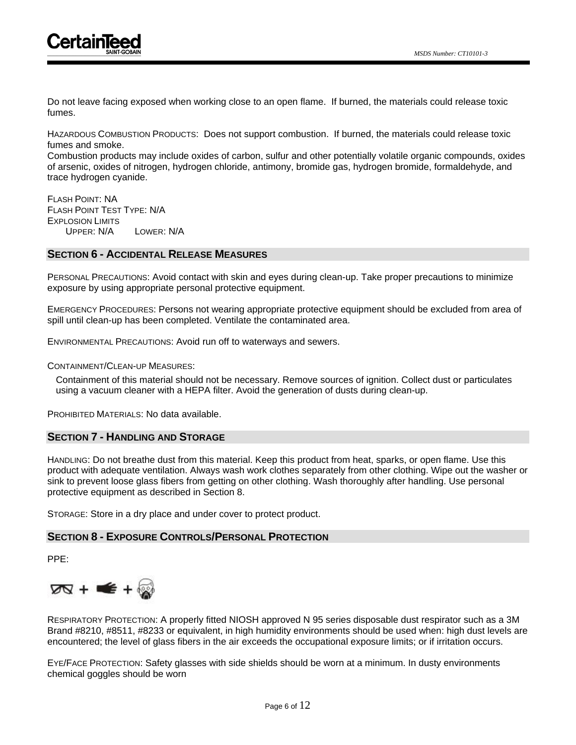

Do not leave facing exposed when working close to an open flame. If burned, the materials could release toxic fumes.

HAZARDOUS COMBUSTION PRODUCTS: Does not support combustion. If burned, the materials could release toxic fumes and smoke.

Combustion products may include oxides of carbon, sulfur and other potentially volatile organic compounds, oxides of arsenic, oxides of nitrogen, hydrogen chloride, antimony, bromide gas, hydrogen bromide, formaldehyde, and trace hydrogen cyanide.

FLASH POINT: NA FLASH POINT TEST TYPE: N/A EXPLOSION LIMITS UPPER: N/A LOWER: N/A

## **SECTION 6 - ACCIDENTAL RELEASE MEASURES**

PERSONAL PRECAUTIONS: Avoid contact with skin and eyes during clean-up. Take proper precautions to minimize exposure by using appropriate personal protective equipment.

EMERGENCY PROCEDURES: Persons not wearing appropriate protective equipment should be excluded from area of spill until clean-up has been completed. Ventilate the contaminated area.

ENVIRONMENTAL PRECAUTIONS: Avoid run off to waterways and sewers.

CONTAINMENT/CLEAN-UP MEASURES:

Containment of this material should not be necessary. Remove sources of ignition. Collect dust or particulates using a vacuum cleaner with a HEPA filter. Avoid the generation of dusts during clean-up.

PROHIBITED MATERIALS: No data available.

## **SECTION 7 - HANDLING AND STORAGE**

HANDLING: Do not breathe dust from this material. Keep this product from heat, sparks, or open flame. Use this product with adequate ventilation. Always wash work clothes separately from other clothing. Wipe out the washer or sink to prevent loose glass fibers from getting on other clothing. Wash thoroughly after handling. Use personal protective equipment as described in Section 8.

STORAGE: Store in a dry place and under cover to protect product.

## **SECTION 8 - EXPOSURE CONTROLS/PERSONAL PROTECTION**

PPE:



RESPIRATORY PROTECTION: A properly fitted NIOSH approved N 95 series disposable dust respirator such as a 3M Brand #8210, #8511, #8233 or equivalent, in high humidity environments should be used when: high dust levels are encountered; the level of glass fibers in the air exceeds the occupational exposure limits; or if irritation occurs.

EYE/FACE PROTECTION: Safety glasses with side shields should be worn at a minimum. In dusty environments chemical goggles should be worn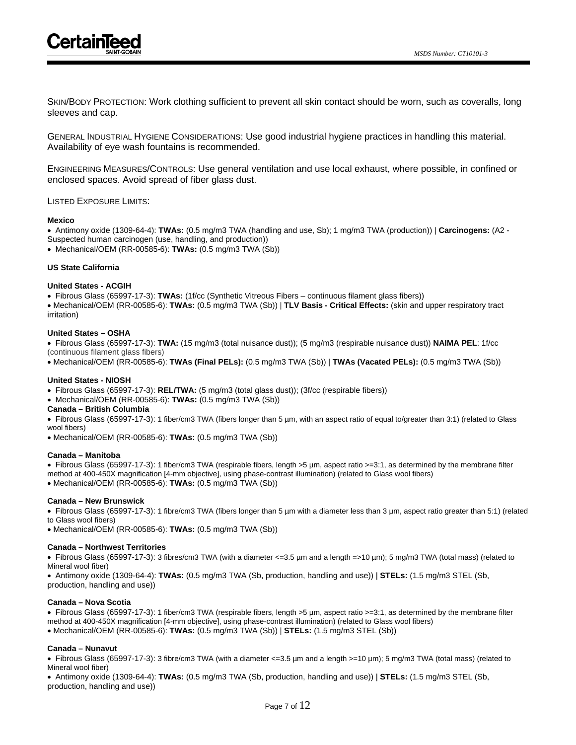

SKIN/BODY PROTECTION: Work clothing sufficient to prevent all skin contact should be worn, such as coveralls, long sleeves and cap.

GENERAL INDUSTRIAL HYGIENE CONSIDERATIONS: Use good industrial hygiene practices in handling this material. Availability of eye wash fountains is recommended.

ENGINEERING MEASURES/CONTROLS: Use general ventilation and use local exhaust, where possible, in confined or enclosed spaces. Avoid spread of fiber glass dust.

#### LISTED EXPOSURE LIMITS:

#### **Mexico**

• Antimony oxide (1309-64-4): **TWAs:** (0.5 mg/m3 TWA (handling and use, Sb); 1 mg/m3 TWA (production)) | **Carcinogens:** (A2 - Suspected human carcinogen (use, handling, and production))

• Mechanical/OEM (RR-00585-6): **TWAs:** (0.5 mg/m3 TWA (Sb))

## **US State California**

#### **United States - ACGIH**

• Fibrous Glass (65997-17-3): **TWAs:** (1f/cc (Synthetic Vitreous Fibers – continuous filament glass fibers))

• Mechanical/OEM (RR-00585-6): **TWAs:** (0.5 mg/m3 TWA (Sb)) | **TLV Basis - Critical Effects:** (skin and upper respiratory tract irritation)

#### **United States – OSHA**

• Fibrous Glass (65997-17-3): **TWA:** (15 mg/m3 (total nuisance dust)); (5 mg/m3 (respirable nuisance dust)) **NAIMA PEL**: 1f/cc

(continuous filament glass fibers)

• Mechanical/OEM (RR-00585-6): **TWAs (Final PELs):** (0.5 mg/m3 TWA (Sb)) | **TWAs (Vacated PELs):** (0.5 mg/m3 TWA (Sb))

#### **United States - NIOSH**

• Fibrous Glass (65997-17-3): **REL/TWA:** (5 mg/m3 (total glass dust)); (3f/cc (respirable fibers))

• Mechanical/OEM (RR-00585-6): **TWAs:** (0.5 mg/m3 TWA (Sb))

#### **Canada – British Columbia**

• Fibrous Glass (65997-17-3): 1 fiber/cm3 TWA (fibers longer than 5 µm, with an aspect ratio of equal to/greater than 3:1) (related to Glass wool fibers)

• Mechanical/OEM (RR-00585-6): **TWAs:** (0.5 mg/m3 TWA (Sb))

#### **Canada – Manitoba**

• Fibrous Glass (65997-17-3): 1 fiber/cm3 TWA (respirable fibers, length >5 µm, aspect ratio >=3:1, as determined by the membrane filter method at 400-450X magnification [4-mm objective], using phase-contrast illumination) (related to Glass wool fibers)

• Mechanical/OEM (RR-00585-6): **TWAs:** (0.5 mg/m3 TWA (Sb))

#### **Canada – New Brunswick**

• Fibrous Glass (65997-17-3): 1 fibre/cm3 TWA (fibers longer than 5 µm with a diameter less than 3 µm, aspect ratio greater than 5:1) (related to Glass wool fibers)

• Mechanical/OEM (RR-00585-6): **TWAs:** (0.5 mg/m3 TWA (Sb))

#### **Canada – Northwest Territories**

• Fibrous Glass (65997-17-3): 3 fibres/cm3 TWA (with a diameter <=3.5 µm and a length =>10 µm); 5 mg/m3 TWA (total mass) (related to Mineral wool fiber)

• Antimony oxide (1309-64-4): **TWAs:** (0.5 mg/m3 TWA (Sb, production, handling and use)) | **STELs:** (1.5 mg/m3 STEL (Sb, production, handling and use))

#### **Canada – Nova Scotia**

• Fibrous Glass (65997-17-3): 1 fiber/cm3 TWA (respirable fibers, length >5 µm, aspect ratio >=3:1, as determined by the membrane filter method at 400-450X magnification [4-mm objective], using phase-contrast illumination) (related to Glass wool fibers)

• Mechanical/OEM (RR-00585-6): **TWAs:** (0.5 mg/m3 TWA (Sb)) | **STELs:** (1.5 mg/m3 STEL (Sb))

#### **Canada – Nunavut**

• Fibrous Glass (65997-17-3): 3 fibre/cm3 TWA (with a diameter <=3.5 µm and a length >=10 µm); 5 mg/m3 TWA (total mass) (related to Mineral wool fiber)

• Antimony oxide (1309-64-4): **TWAs:** (0.5 mg/m3 TWA (Sb, production, handling and use)) | **STELs:** (1.5 mg/m3 STEL (Sb, production, handling and use))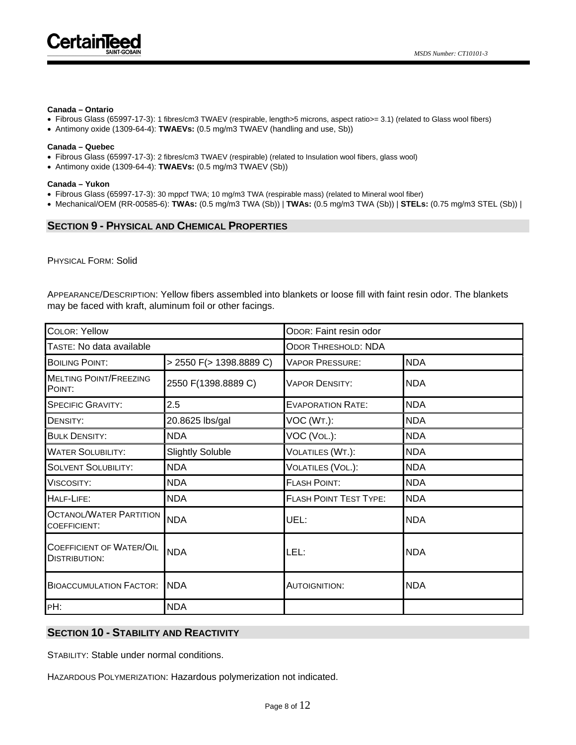

#### **Canada – Ontario**

- Fibrous Glass (65997-17-3): 1 fibres/cm3 TWAEV (respirable, length>5 microns, aspect ratio>= 3.1) (related to Glass wool fibers)
- Antimony oxide (1309-64-4): **TWAEVs:** (0.5 mg/m3 TWAEV (handling and use, Sb))

#### **Canada – Quebec**

- Fibrous Glass (65997-17-3): 2 fibres/cm3 TWAEV (respirable) (related to Insulation wool fibers, glass wool)
- Antimony oxide (1309-64-4): **TWAEVs:** (0.5 mg/m3 TWAEV (Sb))

#### **Canada – Yukon**

- Fibrous Glass (65997-17-3): 30 mppcf TWA; 10 mg/m3 TWA (respirable mass) (related to Mineral wool fiber)
- Mechanical/OEM (RR-00585-6): **TWAs:** (0.5 mg/m3 TWA (Sb)) | **TWAs:** (0.5 mg/m3 TWA (Sb)) | **STELs:** (0.75 mg/m3 STEL (Sb)) |

## **SECTION 9 - PHYSICAL AND CHEMICAL PROPERTIES**

PHYSICAL FORM: Solid

APPEARANCE/DESCRIPTION: Yellow fibers assembled into blankets or loose fill with faint resin odor. The blankets may be faced with kraft, aluminum foil or other facings.

| <b>COLOR: Yellow</b>                                    |                         | ODOR: Faint resin odor        |            |  |  |
|---------------------------------------------------------|-------------------------|-------------------------------|------------|--|--|
| TASTE: No data available                                |                         | <b>ODOR THRESHOLD: NDA</b>    |            |  |  |
| <b>BOILING POINT:</b>                                   | > 2550 F(> 1398.8889 C) | <b>VAPOR PRESSURE:</b>        | <b>NDA</b> |  |  |
| <b>MELTING POINT/FREEZING</b><br>POINT:                 | 2550 F(1398.8889 C)     | <b>VAPOR DENSITY:</b>         | <b>NDA</b> |  |  |
| <b>SPECIFIC GRAVITY:</b>                                | 2.5                     | <b>EVAPORATION RATE:</b>      | <b>NDA</b> |  |  |
| DENSITY:                                                | 20.8625 lbs/gal         | VOC (WT.):                    | <b>NDA</b> |  |  |
| <b>BULK DENSITY:</b>                                    | <b>NDA</b>              | VOC (VOL.):                   | <b>NDA</b> |  |  |
| <b>WATER SOLUBILITY:</b>                                | <b>Slightly Soluble</b> | VOLATILES (WT.):              | <b>NDA</b> |  |  |
| <b>SOLVENT SOLUBILITY:</b>                              | <b>NDA</b>              | VOLATILES (VOL.):             | <b>NDA</b> |  |  |
| Viscosity:                                              | <b>NDA</b>              | <b>FLASH POINT:</b>           | <b>NDA</b> |  |  |
| HALF-LIFE:                                              | <b>NDA</b>              | <b>FLASH POINT TEST TYPE:</b> | <b>NDA</b> |  |  |
| <b>OCTANOL/WATER PARTITION</b><br><b>COEFFICIENT:</b>   | <b>NDA</b>              | UEL:                          | <b>NDA</b> |  |  |
| <b>COEFFICIENT OF WATER/OIL</b><br><b>DISTRIBUTION:</b> | <b>NDA</b>              | LEL:                          | <b>NDA</b> |  |  |
| <b>BIOACCUMULATION FACTOR:</b>                          | <b>NDA</b>              | <b>AUTOIGNITION:</b>          | <b>NDA</b> |  |  |
| PH:                                                     | <b>NDA</b>              |                               |            |  |  |

## **SECTION 10 - STABILITY AND REACTIVITY**

STABILITY: Stable under normal conditions.

HAZARDOUS POLYMERIZATION: Hazardous polymerization not indicated.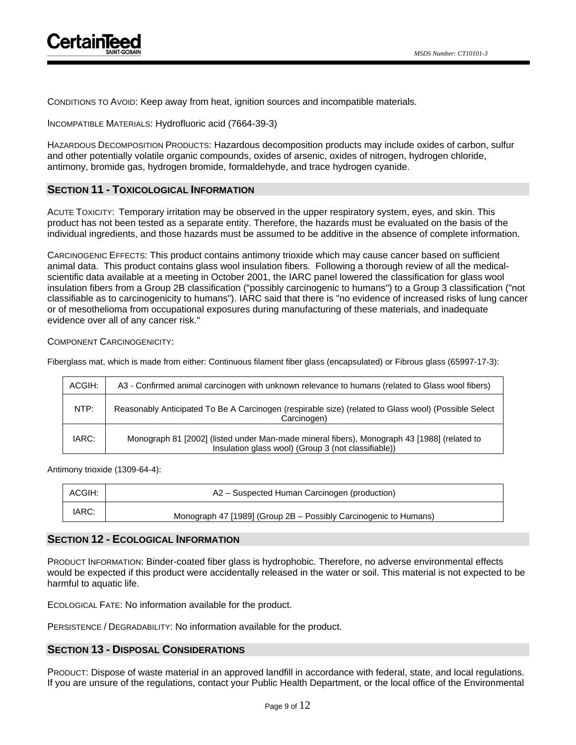

CONDITIONS TO AVOID: Keep away from heat, ignition sources and incompatible materials.

INCOMPATIBLE MATERIALS: Hydrofluoric acid (7664-39-3)

HAZARDOUS DECOMPOSITION PRODUCTS: Hazardous decomposition products may include oxides of carbon, sulfur and other potentially volatile organic compounds, oxides of arsenic, oxides of nitrogen, hydrogen chloride, antimony, bromide gas, hydrogen bromide, formaldehyde, and trace hydrogen cyanide.

## **SECTION 11 - TOXICOLOGICAL INFORMATION**

ACUTE TOXICITY: Temporary irritation may be observed in the upper respiratory system, eyes, and skin. This product has not been tested as a separate entity. Therefore, the hazards must be evaluated on the basis of the individual ingredients, and those hazards must be assumed to be additive in the absence of complete information.

CARCINOGENIC EFFECTS: This product contains antimony trioxide which may cause cancer based on sufficient animal data. This product contains glass wool insulation fibers. Following a thorough review of all the medicalscientific data available at a meeting in October 2001, the IARC panel lowered the classification for glass wool insulation fibers from a Group 2B classification ("possibly carcinogenic to humans") to a Group 3 classification ("not classifiable as to carcinogenicity to humans"). IARC said that there is "no evidence of increased risks of lung cancer or of mesothelioma from occupational exposures during manufacturing of these materials, and inadequate evidence over all of any cancer risk."

## COMPONENT CARCINOGENICITY:

Fiberglass mat, which is made from either: Continuous filament fiber glass (encapsulated) or Fibrous glass (65997-17-3):

| ACGIH: | A3 - Confirmed animal carcinogen with unknown relevance to humans (related to Glass wool fibers)                                                   |
|--------|----------------------------------------------------------------------------------------------------------------------------------------------------|
| NTP:   | Reasonably Anticipated To Be A Carcinogen (respirable size) (related to Glass wool) (Possible Select<br>Carcinogen)                                |
| IARC:  | Monograph 81 [2002] (listed under Man-made mineral fibers), Monograph 43 [1988] (related to<br>Insulation glass wool) (Group 3 (not classifiable)) |

Antimony trioxide (1309-64-4):

| ACGIH: | A2 – Suspected Human Carcinogen (production)                     |
|--------|------------------------------------------------------------------|
| IARC:  | Monograph 47 [1989] (Group 2B - Possibly Carcinogenic to Humans) |

## **SECTION 12 - ECOLOGICAL INFORMATION**

PRODUCT INFORMATION: Binder-coated fiber glass is hydrophobic. Therefore, no adverse environmental effects would be expected if this product were accidentally released in the water or soil. This material is not expected to be harmful to aquatic life.

ECOLOGICAL FATE: No information available for the product.

PERSISTENCE / DEGRADABILITY: No information available for the product.

## **SECTION 13 - DISPOSAL CONSIDERATIONS**

PRODUCT: Dispose of waste material in an approved landfill in accordance with federal, state, and local regulations. If you are unsure of the regulations, contact your Public Health Department, or the local office of the Environmental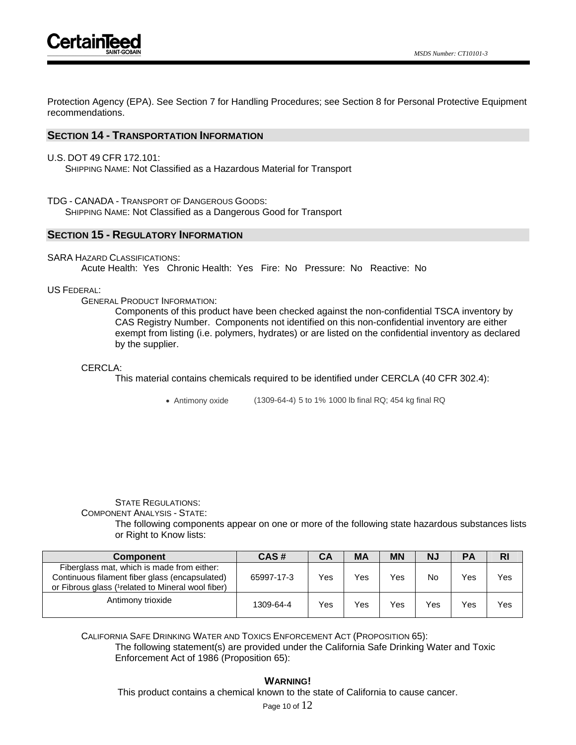Protection Agency (EPA). See Section 7 for Handling Procedures; see Section 8 for Personal Protective Equipment recommendations.

## **SECTION 14 - TRANSPORTATION INFORMATION**

U.S. DOT 49 CFR 172.101:

SHIPPING NAME: Not Classified as a Hazardous Material for Transport

TDG - CANADA - TRANSPORT OF DANGEROUS GOODS:

SHIPPING NAME: Not Classified as a Dangerous Good for Transport

## **SECTION 15 - REGULATORY INFORMATION**

SARA HAZARD CLASSIFICATIONS:

Acute Health: Yes Chronic Health: Yes Fire: No Pressure: No Reactive: No

## US FEDERAL:

GENERAL PRODUCT INFORMATION:

Components of this product have been checked against the non-confidential TSCA inventory by CAS Registry Number. Components not identified on this non-confidential inventory are either exempt from listing (i.e. polymers, hydrates) or are listed on the confidential inventory as declared by the supplier.

## CERCLA:

This material contains chemicals required to be identified under CERCLA (40 CFR 302.4):

• Antimony oxide (1309-64-4) 5 to 1% 1000 lb final RQ; 454 kg final RQ

## STATE REGULATIONS: COMPONENT ANALYSIS - STATE:

The following components appear on one or more of the following state hazardous substances lists or Right to Know lists:

| <b>Component</b>                                                                                                                                   | CAS#       | CА  | <b>MA</b> | <b>MN</b> | <b>N</b>  | <b>PA</b> | <b>RI</b> |
|----------------------------------------------------------------------------------------------------------------------------------------------------|------------|-----|-----------|-----------|-----------|-----------|-----------|
| Fiberglass mat, which is made from either:<br>Continuous filament fiber glass (encapsulated)<br>or Fibrous glass (1 related to Mineral wool fiber) | 65997-17-3 | Yes | Yes       | Yes       | <b>No</b> | Yes       | Yes       |
| Antimony trioxide                                                                                                                                  | 1309-64-4  | Yes | Yes       | Yes       | Yes       | Yes       | Yes       |

CALIFORNIA SAFE DRINKING WATER AND TOXICS ENFORCEMENT ACT (PROPOSITION 65): The following statement(s) are provided under the California Safe Drinking Water and Toxic Enforcement Act of 1986 (Proposition 65):

**WARNING!** This product contains a chemical known to the state of California to cause cancer.

Page 10 of 12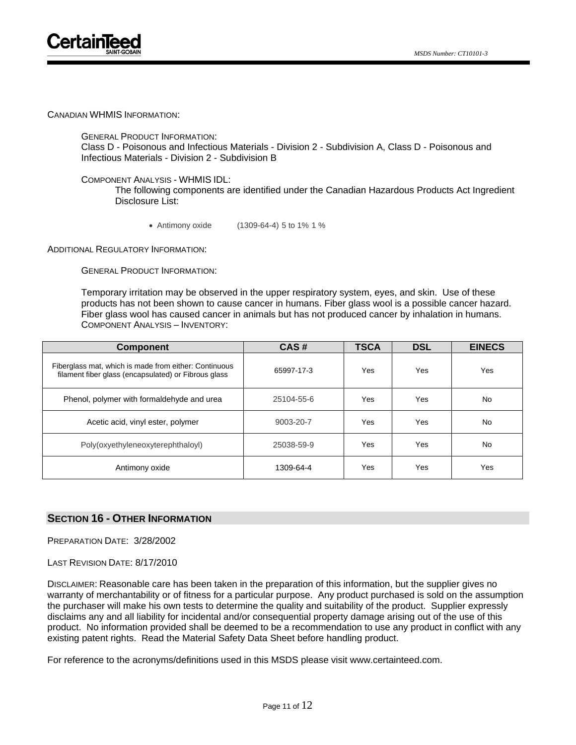CANADIAN WHMIS INFORMATION:

GENERAL PRODUCT INFORMATION:

Class D - Poisonous and Infectious Materials - Division 2 - Subdivision A, Class D - Poisonous and Infectious Materials - Division 2 - Subdivision B

COMPONENT ANALYSIS - WHMIS IDL:

The following components are identified under the Canadian Hazardous Products Act Ingredient Disclosure List:

• Antimony oxide (1309-64-4) 5 to 1% 1 %

ADDITIONAL REGULATORY INFORMATION:

GENERAL PRODUCT INFORMATION:

Temporary irritation may be observed in the upper respiratory system, eyes, and skin. Use of these products has not been shown to cause cancer in humans. Fiber glass wool is a possible cancer hazard. Fiber glass wool has caused cancer in animals but has not produced cancer by inhalation in humans. COMPONENT ANALYSIS – INVENTORY:

| <b>Component</b>                                                                                              | CAS#       | <b>TSCA</b> | <b>DSL</b> | <b>EINECS</b> |
|---------------------------------------------------------------------------------------------------------------|------------|-------------|------------|---------------|
| Fiberglass mat, which is made from either: Continuous<br>filament fiber glass (encapsulated) or Fibrous glass | 65997-17-3 | Yes         | Yes        | Yes           |
| Phenol, polymer with formaldehyde and urea                                                                    | 25104-55-6 | Yes         | Yes        | No            |
| Acetic acid, vinyl ester, polymer                                                                             | 9003-20-7  | Yes         | Yes        | No            |
| Poly(oxyethyleneoxyterephthaloyl)                                                                             | 25038-59-9 | Yes         | Yes        | No            |
| Antimony oxide                                                                                                | 1309-64-4  | Yes         | Yes        | Yes           |

## **SECTION 16 - OTHER INFORMATION**

PREPARATION DATE: 3/28/2002

LAST REVISION DATE: 8/17/2010

DISCLAIMER: Reasonable care has been taken in the preparation of this information, but the supplier gives no warranty of merchantability or of fitness for a particular purpose. Any product purchased is sold on the assumption the purchaser will make his own tests to determine the quality and suitability of the product. Supplier expressly disclaims any and all liability for incidental and/or consequential property damage arising out of the use of this product. No information provided shall be deemed to be a recommendation to use any product in conflict with any existing patent rights. Read the Material Safety Data Sheet before handling product.

For reference to the acronyms/definitions used in this MSDS please visit www.certainteed.com.